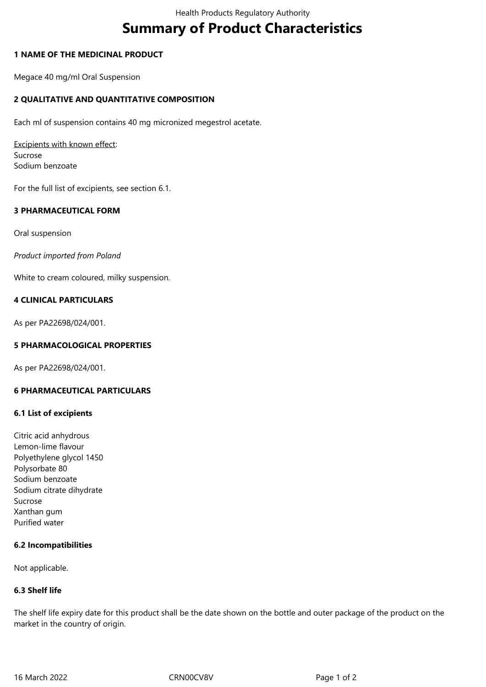# **Summary of Product Characteristics**

## **1 NAME OF THE MEDICINAL PRODUCT**

Megace 40 mg/ml Oral Suspension

# **2 QUALITATIVE AND QUANTITATIVE COMPOSITION**

Each ml of suspension contains 40 mg micronized megestrol acetate.

Excipients with known effect: Sucrose Sodium benzoate

For the full list of excipients, see section 6.1.

# **3 PHARMACEUTICAL FORM**

Oral suspension

*Product imported from Poland*

White to cream coloured, milky suspension.

## **4 CLINICAL PARTICULARS**

As per PA22698/024/001.

# **5 PHARMACOLOGICAL PROPERTIES**

As per PA22698/024/001.

#### **6 PHARMACEUTICAL PARTICULARS**

## **6.1 List of excipients**

Citric acid anhydrous Lemon-lime flavour Polyethylene glycol 1450 Polysorbate 80 Sodium benzoate Sodium citrate dihydrate Sucrose Xanthan gum Purified water

#### **6.2 Incompatibilities**

Not applicable.

#### **6.3 Shelf life**

The shelf life expiry date for this product shall be the date shown on the bottle and outer package of the product on the market in the country of origin.